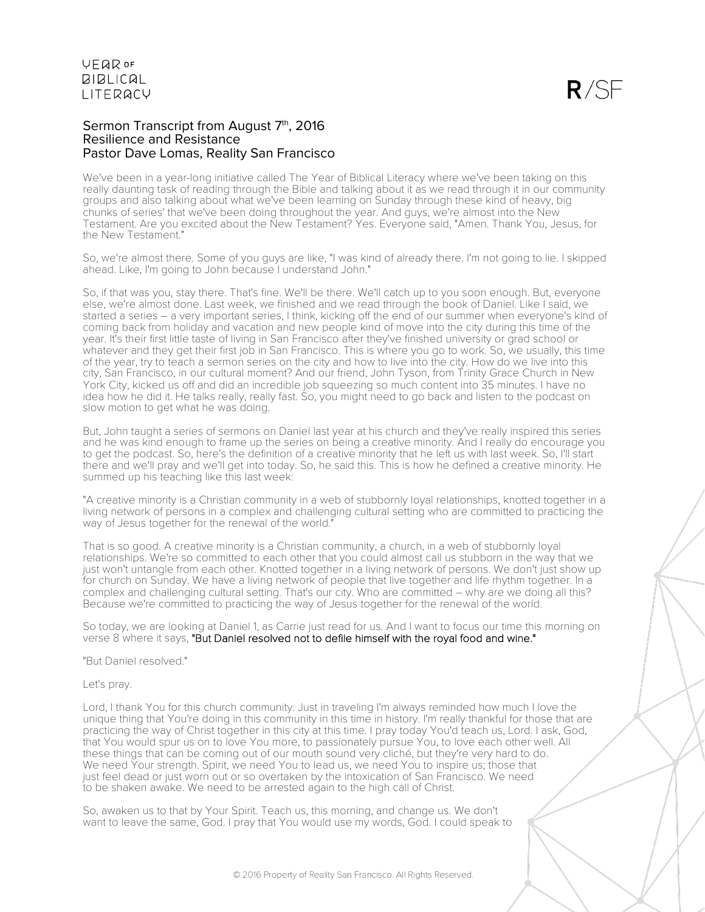#### Sermon Transcript from August 7th, 2016 Resilience and Resistance Pastor Dave Lomas, Reality San Francisco

We've been in a year-long initiative called The Year of Biblical Literacy where we've been taking on this really daunting task of reading through the Bible and talking about it as we read through it in our community groups and also talking about what we've been learning on Sunday through these kind of heavy, big chunks of series' that we've been doing throughout the year. And guys, we're almost into the New Testament. Are you excited about the New Testament? Yes. Everyone said, "Amen. Thank You, Jesus, for the New Testament."

So, we're almost there. Some of you guys are like, "I was kind of already there. I'm not going to lie. I skipped ahead. Like, I'm going to John because I understand John."

So, if that was you, stay there. That's fine. We'll be there. We'll catch up to you soon enough. But, everyone else, we're almost done. Last week, we finished and we read through the book of Daniel. Like I said, we started a series – a very important series, I think, kicking off the end of our summer when everyone's kind of coming back from holiday and vacation and new people kind of move into the city during this time of the year. It's their first little taste of living in San Francisco after they've finished university or grad school or whatever and they get their first job in San Francisco. This is where you go to work. So, we usually, this time of the year, try to teach a sermon series on the city and how to live into the city. How do we live into this city, San Francisco, in our cultural moment? And our friend, John Tyson, from Trinity Grace Church in New York City, kicked us off and did an incredible job squeezing so much content into 35 minutes. I have no idea how he did it. He talks really, really fast. So, you might need to go back and listen to the podcast on slow motion to get what he was doing.

But, John taught a series of sermons on Daniel last year at his church and they've really inspired this series and he was kind enough to frame up the series on being a creative minority. And I really do encourage you to get the podcast. So, here's the definition of a creative minority that he left us with last week. So, I'll start there and we'll pray and we'll get into today. So, he said this. This is how he defined a creative minority. He summed up his teaching like this last week:

"A creative minority is a Christian community in a web of stubbornly loyal relationships, knotted together in a living network of persons in a complex and challenging cultural setting who are committed to practicing the way of Jesus together for the renewal of the world."

That is so good. A creative minority is a Christian community, a church, in a web of stubbornly loyal relationships. We're so committed to each other that you could almost call us stubborn in the way that we just won't untangle from each other. Knotted together in a living network of persons. We don't just show up for church on Sunday. We have a living network of people that live together and life rhythm together. In a complex and challenging cultural setting. That's our city. Who are committed – why are we doing all this? Because we're committed to practicing the way of Jesus together for the renewal of the world.

So today, we are looking at Daniel 1, as Carrie just read for us. And I want to focus our time this morning on verse 8 where it says, "But Daniel resolved not to defile himself with the royal food and wine."

"But Daniel resolved."

Let's pray.

Lord, I thank You for this church community. Just in traveling I'm always reminded how much I love the unique thing that You're doing in this community in this time in history. I'm really thankful for those that are practicing the way of Christ together in this city at this time. I pray today You'd teach us, Lord. I ask, God, that You would spur us on to love You more, to passionately pursue You, to love each other well. All these things that can be coming out of our mouth sound very cliché, but they're very hard to do. We need Your strength. Spirit, we need You to lead us, we need You to inspire us; those that just feel dead or just worn out or so overtaken by the intoxication of San Francisco. We need to be shaken awake. We need to be arrested again to the high call of Christ.

So, awaken us to that by Your Spirit. Teach us, this morning, and change us. We don't want to leave the same, God. I pray that You would use my words, God. I could speak to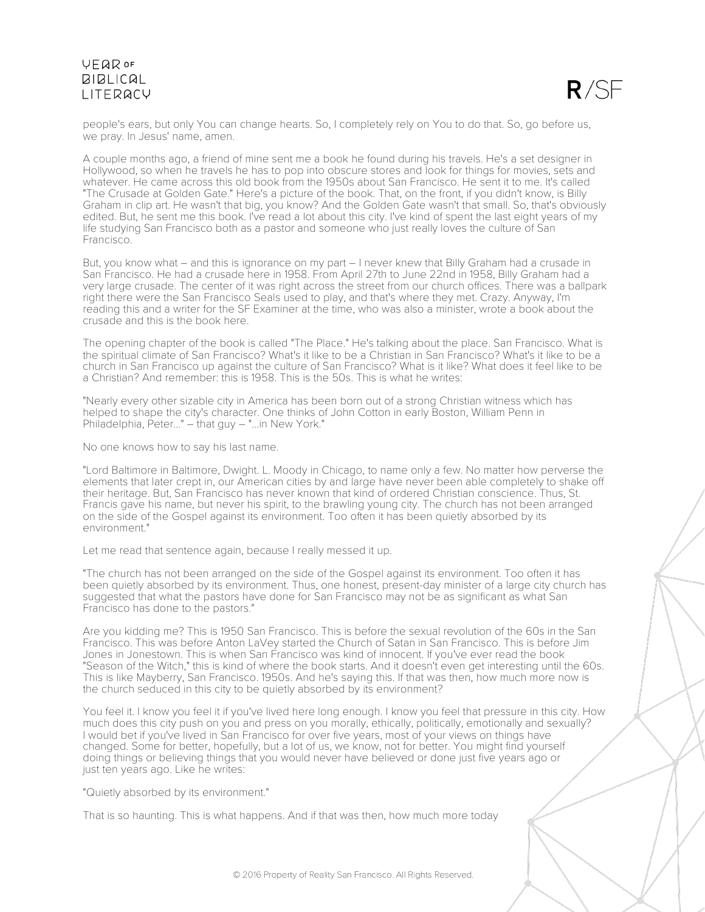

people's ears, but only You can change hearts. So, I completely rely on You to do that. So, go before us, we pray. In Jesus' name, amen.

A couple months ago, a friend of mine sent me a book he found during his travels. He's a set designer in Hollywood, so when he travels he has to pop into obscure stores and look for things for movies, sets and whatever. He came across this old book from the 1950s about San Francisco. He sent it to me. It's called "The Crusade at Golden Gate." Here's a picture of the book. That, on the front, if you didn't know, is Billy Graham in clip art. He wasn't that big, you know? And the Golden Gate wasn't that small. So, that's obviously edited. But, he sent me this book. I've read a lot about this city. I've kind of spent the last eight years of my life studying San Francisco both as a pastor and someone who just really loves the culture of San Francisco.

But, you know what – and this is ignorance on my part – I never knew that Billy Graham had a crusade in San Francisco. He had a crusade here in 1958. From April 27th to June 22nd in 1958, Billy Graham had a very large crusade. The center of it was right across the street from our church offices. There was a ballpark right there were the San Francisco Seals used to play, and that's where they met. Crazy. Anyway, I'm reading this and a writer for the SF Examiner at the time, who was also a minister, wrote a book about the crusade and this is the book here.

The opening chapter of the book is called "The Place." He's talking about the place. San Francisco. What is the spiritual climate of San Francisco? What's it like to be a Christian in San Francisco? What's it like to be a church in San Francisco up against the culture of San Francisco? What is it like? What does it feel like to be a Christian? And remember: this is 1958. This is the 50s. This is what he writes:

"Nearly every other sizable city in America has been born out of a strong Christian witness which has helped to shape the city's character. One thinks of John Cotton in early Boston, William Penn in Philadelphia, Peter..." – that guy – "...in New York."

No one knows how to say his last name.

"Lord Baltimore in Baltimore, Dwight. L. Moody in Chicago, to name only a few. No matter how perverse the elements that later crept in, our American cities by and large have never been able completely to shake off their heritage. But, San Francisco has never known that kind of ordered Christian conscience. Thus, St. Francis gave his name, but never his spirit, to the brawling young city. The church has not been arranged on the side of the Gospel against its environment. Too often it has been quietly absorbed by its environment."

Let me read that sentence again, because I really messed it up.

"The church has not been arranged on the side of the Gospel against its environment. Too often it has been quietly absorbed by its environment. Thus, one honest, present-day minister of a large city church has suggested that what the pastors have done for San Francisco may not be as significant as what San Francisco has done to the pastors."

Are you kidding me? This is 1950 San Francisco. This is before the sexual revolution of the 60s in the San Francisco. This was before Anton LaVey started the Church of Satan in San Francisco. This is before Jim Jones in Jonestown. This is when San Francisco was kind of innocent. If you've ever read the book "Season of the Witch," this is kind of where the book starts. And it doesn't even get interesting until the 60s. This is like Mayberry, San Francisco. 1950s. And he's saying this. If that was then, how much more now is the church seduced in this city to be quietly absorbed by its environment?

You feel it. I know you feel it if you've lived here long enough. I know you feel that pressure in this city. How much does this city push on you and press on you morally, ethically, politically, emotionally and sexually? I would bet if you've lived in San Francisco for over five years, most of your views on things have changed. Some for better, hopefully, but a lot of us, we know, not for better. You might find yourself doing things or believing things that you would never have believed or done just five years ago or just ten years ago. Like he writes:

"Quietly absorbed by its environment."

That is so haunting. This is what happens. And if that was then, how much more today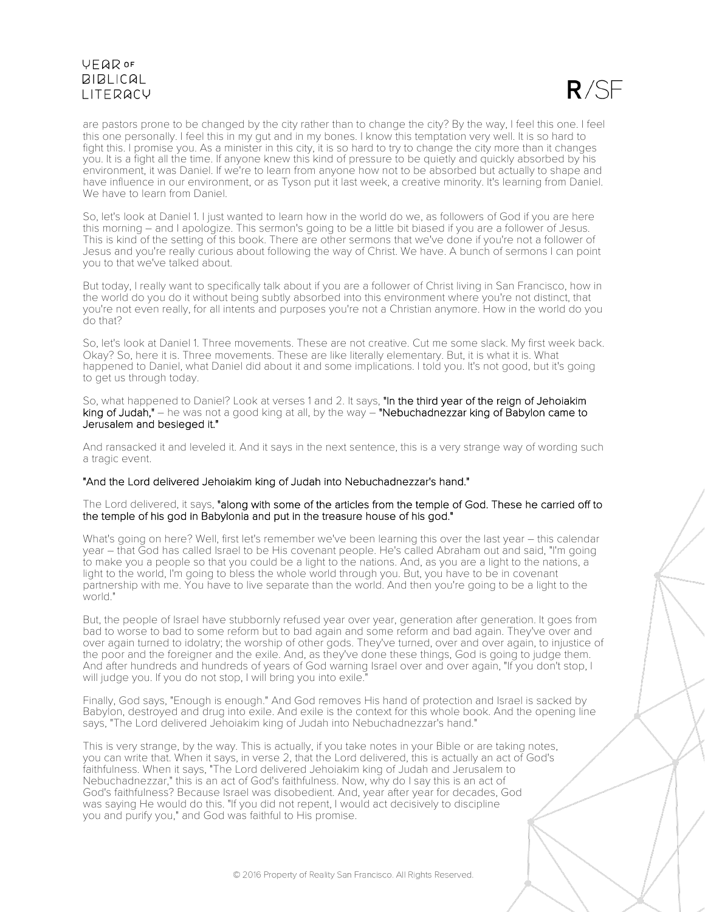

are pastors prone to be changed by the city rather than to change the city? By the way, I feel this one. I feel this one personally. I feel this in my gut and in my bones. I know this temptation very well. It is so hard to fight this. I promise you. As a minister in this city, it is so hard to try to change the city more than it changes you. It is a fight all the time. If anyone knew this kind of pressure to be quietly and quickly absorbed by his environment, it was Daniel. If we're to learn from anyone how not to be absorbed but actually to shape and have influence in our environment, or as Tyson put it last week, a creative minority. It's learning from Daniel. We have to learn from Daniel.

So, let's look at Daniel 1. I just wanted to learn how in the world do we, as followers of God if you are here this morning – and I apologize. This sermon's going to be a little bit biased if you are a follower of Jesus. This is kind of the setting of this book. There are other sermons that we've done if you're not a follower of Jesus and you're really curious about following the way of Christ. We have. A bunch of sermons I can point you to that we've talked about.

But today, I really want to specifically talk about if you are a follower of Christ living in San Francisco, how in the world do you do it without being subtly absorbed into this environment where you're not distinct, that you're not even really, for all intents and purposes you're not a Christian anymore. How in the world do you do that?

So, let's look at Daniel 1. Three movements. These are not creative. Cut me some slack. My first week back. Okay? So, here it is. Three movements. These are like literally elementary. But, it is what it is. What happened to Daniel, what Daniel did about it and some implications. I told you. It's not good, but it's going to get us through today.

So, what happened to Daniel? Look at verses 1 and 2. It says, "In the third year of the reign of Jehoiakim king of Judah," – he was not a good king at all, by the way – "Nebuchadnezzar king of Babylon came to Jerusalem and besieged it."

And ransacked it and leveled it. And it says in the next sentence, this is a very strange way of wording such a tragic event.

#### "And the Lord delivered Jehoiakim king of Judah into Nebuchadnezzar's hand."

The Lord delivered, it says, "along with some of the articles from the temple of God. These he carried off to the temple of his god in Babylonia and put in the treasure house of his god."

What's going on here? Well, first let's remember we've been learning this over the last year – this calendar year – that God has called Israel to be His covenant people. He's called Abraham out and said, "I'm going to make you a people so that you could be a light to the nations. And, as you are a light to the nations, a light to the world, I'm going to bless the whole world through you. But, you have to be in covenant partnership with me. You have to live separate than the world. And then you're going to be a light to the world."

But, the people of Israel have stubbornly refused year over year, generation after generation. It goes from bad to worse to bad to some reform but to bad again and some reform and bad again. They've over and over again turned to idolatry; the worship of other gods. They've turned, over and over again, to injustice of the poor and the foreigner and the exile. And, as they've done these things, God is going to judge them. And after hundreds and hundreds of years of God warning Israel over and over again, "If you don't stop, I will judge you. If you do not stop, I will bring you into exile.

Finally, God says, "Enough is enough." And God removes His hand of protection and Israel is sacked by Babylon, destroyed and drug into exile. And exile is the context for this whole book. And the opening line says, "The Lord delivered Jehoiakim king of Judah into Nebuchadnezzar's hand."

This is very strange, by the way. This is actually, if you take notes in your Bible or are taking notes, you can write that. When it says, in verse 2, that the Lord delivered, this is actually an act of God's faithfulness. When it says, "The Lord delivered Jehoiakim king of Judah and Jerusalem to Nebuchadnezzar," this is an act of God's faithfulness. Now, why do I say this is an act of God's faithfulness? Because Israel was disobedient. And, year after year for decades, God was saying He would do this. "If you did not repent, I would act decisively to discipline you and purify you," and God was faithful to His promise.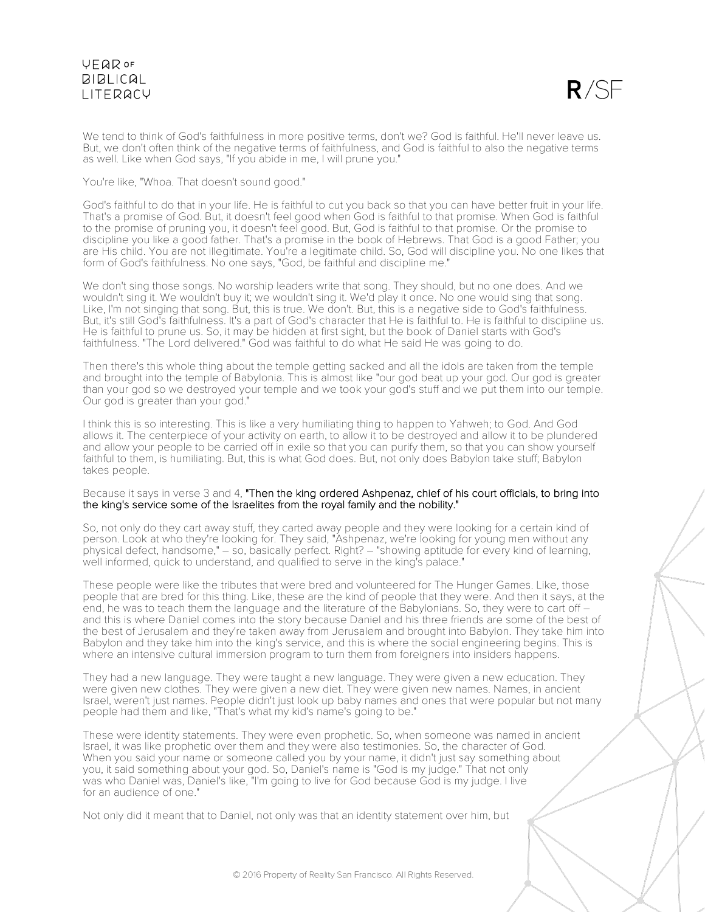

We tend to think of God's faithfulness in more positive terms, don't we? God is faithful. He'll never leave us. But, we don't often think of the negative terms of faithfulness, and God is faithful to also the negative terms as well. Like when God says, "If you abide in me, I will prune you."

#### You're like, "Whoa. That doesn't sound good."

God's faithful to do that in your life. He is faithful to cut you back so that you can have better fruit in your life. That's a promise of God. But, it doesn't feel good when God is faithful to that promise. When God is faithful to the promise of pruning you, it doesn't feel good. But, God is faithful to that promise. Or the promise to discipline you like a good father. That's a promise in the book of Hebrews. That God is a good Father; you are His child. You are not illegitimate. You're a legitimate child. So, God will discipline you. No one likes that form of God's faithfulness. No one says, "God, be faithful and discipline me."

We don't sing those songs. No worship leaders write that song. They should, but no one does. And we wouldn't sing it. We wouldn't buy it; we wouldn't sing it. We'd play it once. No one would sing that song. Like, I'm not singing that song. But, this is true. We don't. But, this is a negative side to God's faithfulness. But, it's still God's faithfulness. It's a part of God's character that He is faithful to. He is faithful to discipline us. He is faithful to prune us. So, it may be hidden at first sight, but the book of Daniel starts with God's faithfulness. "The Lord delivered." God was faithful to do what He said He was going to do.

Then there's this whole thing about the temple getting sacked and all the idols are taken from the temple and brought into the temple of Babylonia. This is almost like "our god beat up your god. Our god is greater than your god so we destroyed your temple and we took your god's stuff and we put them into our temple. Our god is greater than your god."

I think this is so interesting. This is like a very humiliating thing to happen to Yahweh; to God. And God allows it. The centerpiece of your activity on earth, to allow it to be destroyed and allow it to be plundered and allow your people to be carried off in exile so that you can purify them, so that you can show yourself faithful to them, is humiliating. But, this is what God does. But, not only does Babylon take stuff; Babylon takes people.

#### Because it says in verse 3 and 4, "Then the king ordered Ashpenaz, chief of his court officials, to bring into the king's service some of the Israelites from the royal family and the nobility."

So, not only do they cart away stuff, they carted away people and they were looking for a certain kind of person. Look at who they're looking for. They said, "Ashpenaz, we're looking for young men without any physical defect, handsome," – so, basically perfect. Right? – "showing aptitude for every kind of learning, well informed, quick to understand, and qualified to serve in the king's palace."

These people were like the tributes that were bred and volunteered for The Hunger Games. Like, those people that are bred for this thing. Like, these are the kind of people that they were. And then it says, at the end, he was to teach them the language and the literature of the Babylonians. So, they were to cart off – and this is where Daniel comes into the story because Daniel and his three friends are some of the best of the best of Jerusalem and they're taken away from Jerusalem and brought into Babylon. They take him into Babylon and they take him into the king's service, and this is where the social engineering begins. This is where an intensive cultural immersion program to turn them from foreigners into insiders happens.

They had a new language. They were taught a new language. They were given a new education. They were given new clothes. They were given a new diet. They were given new names. Names, in ancient Israel, weren't just names. People didn't just look up baby names and ones that were popular but not many people had them and like, "That's what my kid's name's going to be."

These were identity statements. They were even prophetic. So, when someone was named in ancient Israel, it was like prophetic over them and they were also testimonies. So, the character of God. When you said your name or someone called you by your name, it didn't just say something about you, it said something about your god. So, Daniel's name is "God is my judge." That not only was who Daniel was, Daniel's like, "I'm going to live for God because God is my judge. I live for an audience of one."

Not only did it meant that to Daniel, not only was that an identity statement over him, but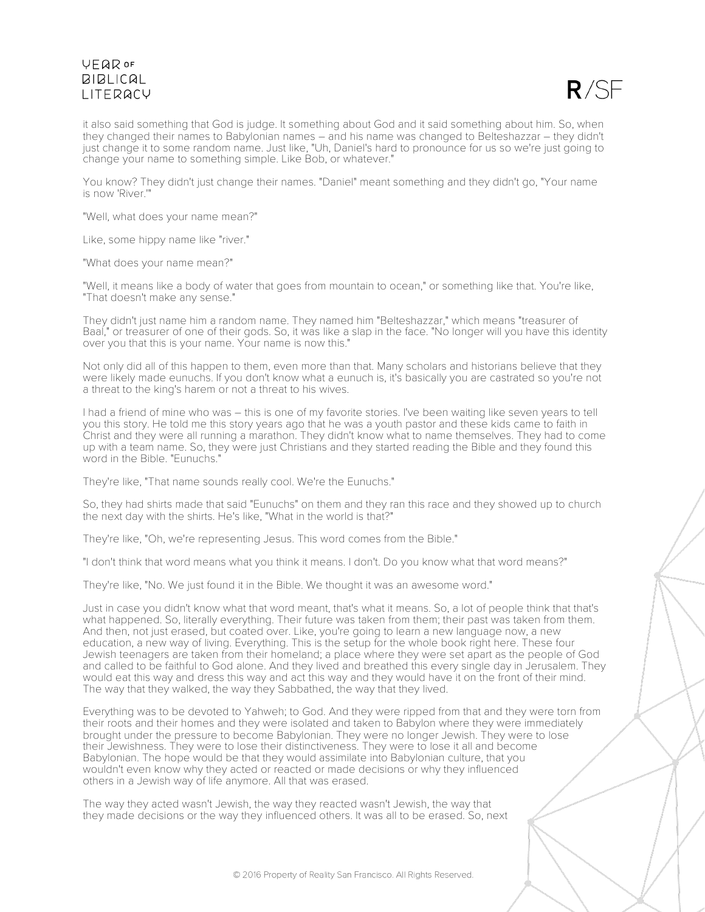

it also said something that God is judge. It something about God and it said something about him. So, when they changed their names to Babylonian names – and his name was changed to Belteshazzar – they didn't just change it to some random name. Just like, "Uh, Daniel's hard to pronounce for us so we're just going to change your name to something simple. Like Bob, or whatever."

You know? They didn't just change their names. "Daniel" meant something and they didn't go, "Your name is now 'River.'"

"Well, what does your name mean?"

Like, some hippy name like "river."

"What does your name mean?"

"Well, it means like a body of water that goes from mountain to ocean," or something like that. You're like, "That doesn't make any sense."

They didn't just name him a random name. They named him "Belteshazzar," which means "treasurer of Baal," or treasurer of one of their gods. So, it was like a slap in the face. "No longer will you have this identity over you that this is your name. Your name is now this."

Not only did all of this happen to them, even more than that. Many scholars and historians believe that they were likely made eunuchs. If you don't know what a eunuch is, it's basically you are castrated so you're not a threat to the king's harem or not a threat to his wives.

I had a friend of mine who was – this is one of my favorite stories. I've been waiting like seven years to tell you this story. He told me this story years ago that he was a youth pastor and these kids came to faith in Christ and they were all running a marathon. They didn't know what to name themselves. They had to come up with a team name. So, they were just Christians and they started reading the Bible and they found this word in the Bible. "Eunuchs."

They're like, "That name sounds really cool. We're the Eunuchs."

So, they had shirts made that said "Eunuchs" on them and they ran this race and they showed up to church the next day with the shirts. He's like, "What in the world is that?"

They're like, "Oh, we're representing Jesus. This word comes from the Bible."

"I don't think that word means what you think it means. I don't. Do you know what that word means?"

They're like, "No. We just found it in the Bible. We thought it was an awesome word."

Just in case you didn't know what that word meant, that's what it means. So, a lot of people think that that's what happened. So, literally everything. Their future was taken from them; their past was taken from them. And then, not just erased, but coated over. Like, you're going to learn a new language now, a new education, a new way of living. Everything. This is the setup for the whole book right here. These four Jewish teenagers are taken from their homeland; a place where they were set apart as the people of God and called to be faithful to God alone. And they lived and breathed this every single day in Jerusalem. They would eat this way and dress this way and act this way and they would have it on the front of their mind. The way that they walked, the way they Sabbathed, the way that they lived.

Everything was to be devoted to Yahweh; to God. And they were ripped from that and they were torn from their roots and their homes and they were isolated and taken to Babylon where they were immediately brought under the pressure to become Babylonian. They were no longer Jewish. They were to lose their Jewishness. They were to lose their distinctiveness. They were to lose it all and become Babylonian. The hope would be that they would assimilate into Babylonian culture, that you wouldn't even know why they acted or reacted or made decisions or why they influenced others in a Jewish way of life anymore. All that was erased.

The way they acted wasn't Jewish, the way they reacted wasn't Jewish, the way that they made decisions or the way they influenced others. It was all to be erased. So, next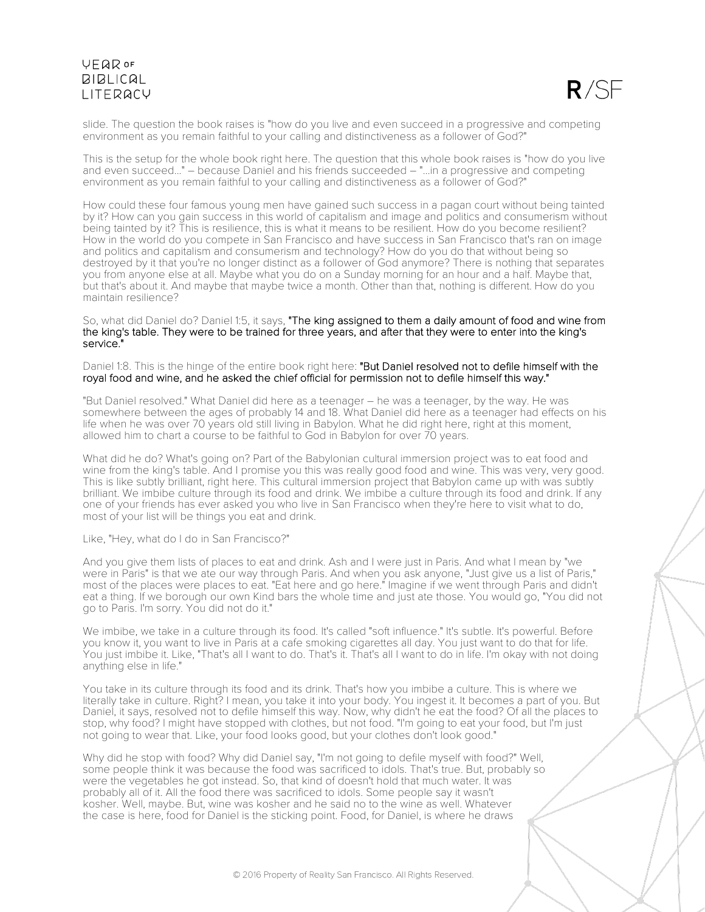

slide. The question the book raises is "how do you live and even succeed in a progressive and competing environment as you remain faithful to your calling and distinctiveness as a follower of God?"

This is the setup for the whole book right here. The question that this whole book raises is "how do you live and even succeed..." – because Daniel and his friends succeeded – "...in a progressive and competing environment as you remain faithful to your calling and distinctiveness as a follower of God?"

How could these four famous young men have gained such success in a pagan court without being tainted by it? How can you gain success in this world of capitalism and image and politics and consumerism without being tainted by it? This is resilience, this is what it means to be resilient. How do you become resilient? How in the world do you compete in San Francisco and have success in San Francisco that's ran on image and politics and capitalism and consumerism and technology? How do you do that without being so destroyed by it that you're no longer distinct as a follower of God anymore? There is nothing that separates you from anyone else at all. Maybe what you do on a Sunday morning for an hour and a half. Maybe that, but that's about it. And maybe that maybe twice a month. Other than that, nothing is different. How do you maintain resilience?

#### So, what did Daniel do? Daniel 1:5, it says, "The king assigned to them a daily amount of food and wine from the king's table. They were to be trained for three years, and after that they were to enter into the king's service."

Daniel 1:8. This is the hinge of the entire book right here: "But Daniel resolved not to defile himself with the royal food and wine, and he asked the chief official for permission not to defile himself this way."

"But Daniel resolved." What Daniel did here as a teenager – he was a teenager, by the way. He was somewhere between the ages of probably 14 and 18. What Daniel did here as a teenager had effects on his life when he was over 70 years old still living in Babylon. What he did right here, right at this moment, allowed him to chart a course to be faithful to God in Babylon for over 70 years.

What did he do? What's going on? Part of the Babylonian cultural immersion project was to eat food and wine from the king's table. And I promise you this was really good food and wine. This was very, very good. This is like subtly brilliant, right here. This cultural immersion project that Babylon came up with was subtly brilliant. We imbibe culture through its food and drink. We imbibe a culture through its food and drink. If any one of your friends has ever asked you who live in San Francisco when they're here to visit what to do, most of your list will be things you eat and drink.

Like, "Hey, what do I do in San Francisco?"

And you give them lists of places to eat and drink. Ash and I were just in Paris. And what I mean by "we were in Paris" is that we ate our way through Paris. And when you ask anyone, "Just give us a list of Paris," most of the places were places to eat. "Eat here and go here." Imagine if we went through Paris and didn't eat a thing. If we borough our own Kind bars the whole time and just ate those. You would go, "You did not go to Paris. I'm sorry. You did not do it."

We imbibe, we take in a culture through its food. It's called "soft influence." It's subtle. It's powerful. Before you know it, you want to live in Paris at a cafe smoking cigarettes all day. You just want to do that for life. You just imbibe it. Like, "That's all I want to do. That's it. That's all I want to do in life. I'm okay with not doing anything else in life."

You take in its culture through its food and its drink. That's how you imbibe a culture. This is where we literally take in culture. Right? I mean, you take it into your body. You ingest it. It becomes a part of you. But Daniel, it says, resolved not to defile himself this way. Now, why didn't he eat the food? Of all the places to stop, why food? I might have stopped with clothes, but not food. "I'm going to eat your food, but I'm just not going to wear that. Like, your food looks good, but your clothes don't look good."

Why did he stop with food? Why did Daniel say, "I'm not going to defile myself with food?" Well, some people think it was because the food was sacrificed to idols. That's true. But, probably so were the vegetables he got instead. So, that kind of doesn't hold that much water. It was probably all of it. All the food there was sacrificed to idols. Some people say it wasn't kosher. Well, maybe. But, wine was kosher and he said no to the wine as well. Whatever the case is here, food for Daniel is the sticking point. Food, for Daniel, is where he draws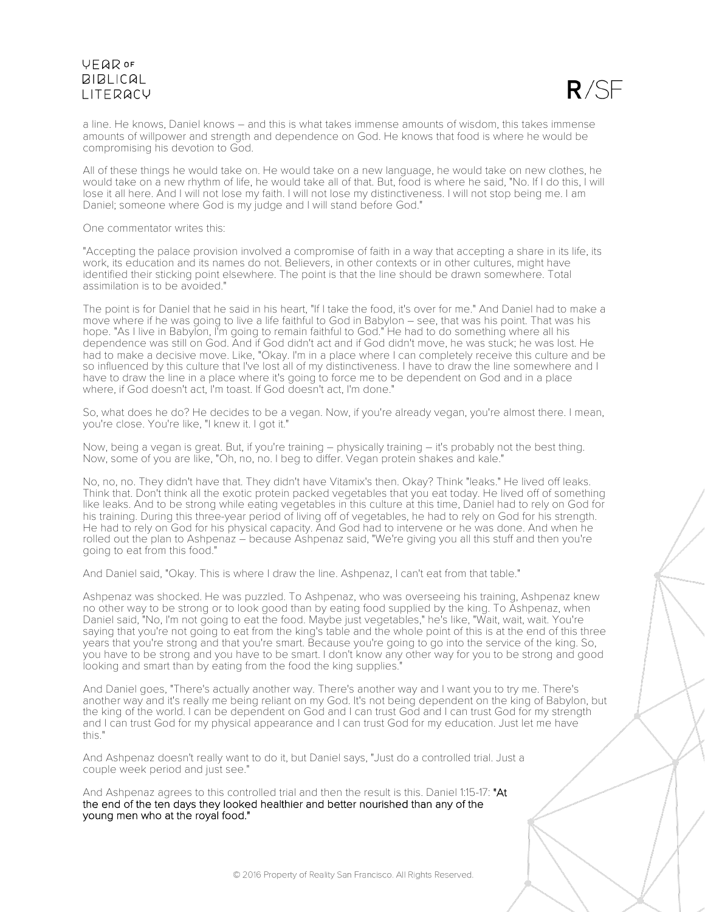

a line. He knows, Daniel knows – and this is what takes immense amounts of wisdom, this takes immense amounts of willpower and strength and dependence on God. He knows that food is where he would be compromising his devotion to God.

All of these things he would take on. He would take on a new language, he would take on new clothes, he would take on a new rhythm of life, he would take all of that. But, food is where he said, "No. If I do this, I will lose it all here. And I will not lose my faith. I will not lose my distinctiveness. I will not stop being me. I am Daniel; someone where God is my judge and I will stand before God."

One commentator writes this:

"Accepting the palace provision involved a compromise of faith in a way that accepting a share in its life, its work, its education and its names do not. Believers, in other contexts or in other cultures, might have identified their sticking point elsewhere. The point is that the line should be drawn somewhere. Total assimilation is to be avoided."

The point is for Daniel that he said in his heart, "If I take the food, it's over for me." And Daniel had to make a move where if he was going to live a life faithful to God in Babylon – see, that was his point. That was his hope. "As I live in Babylon, I'm going to remain faithful to God." He had to do something where all his dependence was still on God. And if God didn't act and if God didn't move, he was stuck; he was lost. He had to make a decisive move. Like, "Okay. I'm in a place where I can completely receive this culture and be so influenced by this culture that I've lost all of my distinctiveness. I have to draw the line somewhere and I have to draw the line in a place where it's going to force me to be dependent on God and in a place where, if God doesn't act, I'm toast. If God doesn't act, I'm done."

So, what does he do? He decides to be a vegan. Now, if you're already vegan, you're almost there. I mean, you're close. You're like, "I knew it. I got it."

Now, being a vegan is great. But, if you're training – physically training – it's probably not the best thing. Now, some of you are like, "Oh, no, no. I beg to differ. Vegan protein shakes and kale."

No, no, no. They didn't have that. They didn't have Vitamix's then. Okay? Think "leaks." He lived off leaks. Think that. Don't think all the exotic protein packed vegetables that you eat today. He lived off of something like leaks. And to be strong while eating vegetables in this culture at this time, Daniel had to rely on God for his training. During this three-year period of living off of vegetables, he had to rely on God for his strength. He had to rely on God for his physical capacity. And God had to intervene or he was done. And when he rolled out the plan to Ashpenaz – because Ashpenaz said, "We're giving you all this stuff and then you're going to eat from this food."

And Daniel said, "Okay. This is where I draw the line. Ashpenaz, I can't eat from that table."

Ashpenaz was shocked. He was puzzled. To Ashpenaz, who was overseeing his training, Ashpenaz knew no other way to be strong or to look good than by eating food supplied by the king. To Ashpenaz, when Daniel said, "No, I'm not going to eat the food. Maybe just vegetables," he's like, "Wait, wait, wait. You're saying that you're not going to eat from the king's table and the whole point of this is at the end of this three years that you're strong and that you're smart. Because you're going to go into the service of the king. So, you have to be strong and you have to be smart. I don't know any other way for you to be strong and good looking and smart than by eating from the food the king supplies.

And Daniel goes, "There's actually another way. There's another way and I want you to try me. There's another way and it's really me being reliant on my God. It's not being dependent on the king of Babylon, but the king of the world. I can be dependent on God and I can trust God and I can trust God for my strength and I can trust God for my physical appearance and I can trust God for my education. Just let me have this."

And Ashpenaz doesn't really want to do it, but Daniel says, "Just do a controlled trial. Just a couple week period and just see."

And Ashpenaz agrees to this controlled trial and then the result is this. Daniel 1:15-17: "At the end of the ten days they looked healthier and better nourished than any of the young men who at the royal food."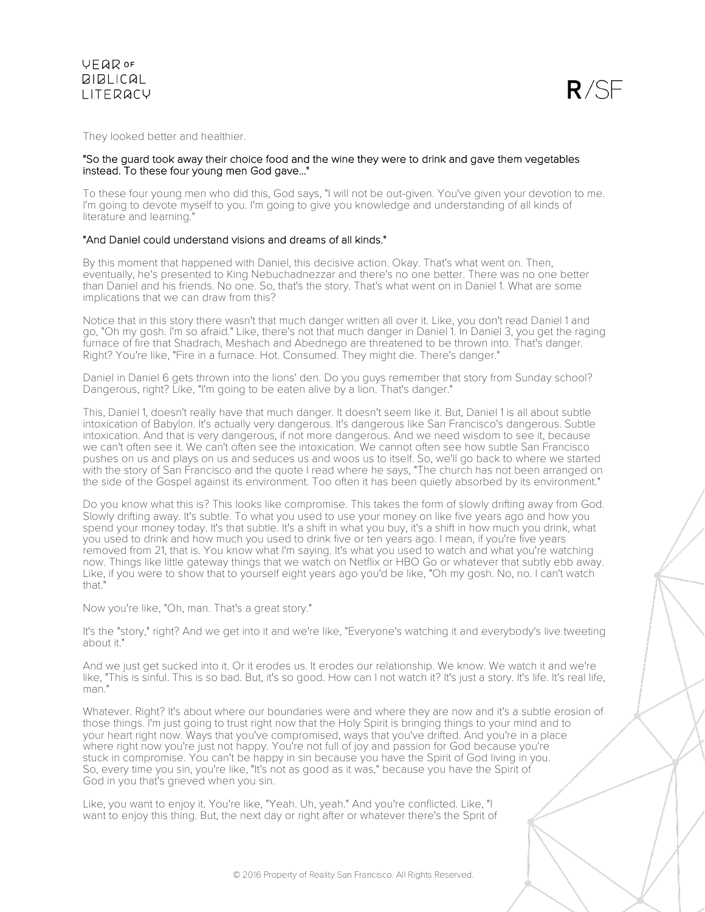They looked better and healthier.

#### "So the guard took away their choice food and the wine they were to drink and gave them vegetables instead. To these four young men God gave..."

To these four young men who did this, God says, "I will not be out-given. You've given your devotion to me. I'm going to devote myself to you. I'm going to give you knowledge and understanding of all kinds of literature and learning.

#### "And Daniel could understand visions and dreams of all kinds."

By this moment that happened with Daniel, this decisive action. Okay. That's what went on. Then, eventually, he's presented to King Nebuchadnezzar and there's no one better. There was no one better than Daniel and his friends. No one. So, that's the story. That's what went on in Daniel 1. What are some implications that we can draw from this?

Notice that in this story there wasn't that much danger written all over it. Like, you don't read Daniel 1 and go, "Oh my gosh. I'm so afraid." Like, there's not that much danger in Daniel 1. In Daniel 3, you get the raging furnace of fire that Shadrach, Meshach and Abednego are threatened to be thrown into. That's danger. Right? You're like, "Fire in a furnace. Hot. Consumed. They might die. There's danger."

Daniel in Daniel 6 gets thrown into the lions' den. Do you guys remember that story from Sunday school? Dangerous, right? Like, "I'm going to be eaten alive by a lion. That's danger."

This, Daniel 1, doesn't really have that much danger. It doesn't seem like it. But, Daniel 1 is all about subtle intoxication of Babylon. It's actually very dangerous. It's dangerous like San Francisco's dangerous. Subtle intoxication. And that is very dangerous, if not more dangerous. And we need wisdom to see it, because we can't often see it. We can't often see the intoxication. We cannot often see how subtle San Francisco pushes on us and plays on us and seduces us and woos us to itself. So, we'll go back to where we started with the story of San Francisco and the quote I read where he says, "The church has not been arranged on the side of the Gospel against its environment. Too often it has been quietly absorbed by its environment."

Do you know what this is? This looks like compromise. This takes the form of slowly drifting away from God. Slowly drifting away. It's subtle. To what you used to use your money on like five years ago and how you spend your money today. It's that subtle. It's a shift in what you buy, it's a shift in how much you drink, what you used to drink and how much you used to drink five or ten years ago. I mean, if you're five years removed from 21, that is. You know what I'm saying. It's what you used to watch and what you're watching now. Things like little gateway things that we watch on Netflix or HBO Go or whatever that subtly ebb away. Like, if you were to show that to yourself eight years ago you'd be like, "Oh my gosh. No, no. I can't watch that."

Now you're like, "Oh, man. That's a great story."

It's the "story," right? And we get into it and we're like, "Everyone's watching it and everybody's live tweeting about it."

And we just get sucked into it. Or it erodes us. It erodes our relationship. We know. We watch it and we're like, "This is sinful. This is so bad. But, it's so good. How can I not watch it? It's just a story. It's life. It's real life, man."

Whatever. Right? It's about where our boundaries were and where they are now and it's a subtle erosion of those things. I'm just going to trust right now that the Holy Spirit is bringing things to your mind and to your heart right now. Ways that you've compromised, ways that you've drifted. And you're in a place where right now you're just not happy. You're not full of joy and passion for God because you're stuck in compromise. You can't be happy in sin because you have the Spirit of God living in you. So, every time you sin, you're like, "It's not as good as it was," because you have the Spirit of God in you that's grieved when you sin.

Like, you want to enjoy it. You're like, "Yeah. Uh, yeah." And you're conflicted. Like, "I want to enjoy this thing. But, the next day or right after or whatever there's the Sprit of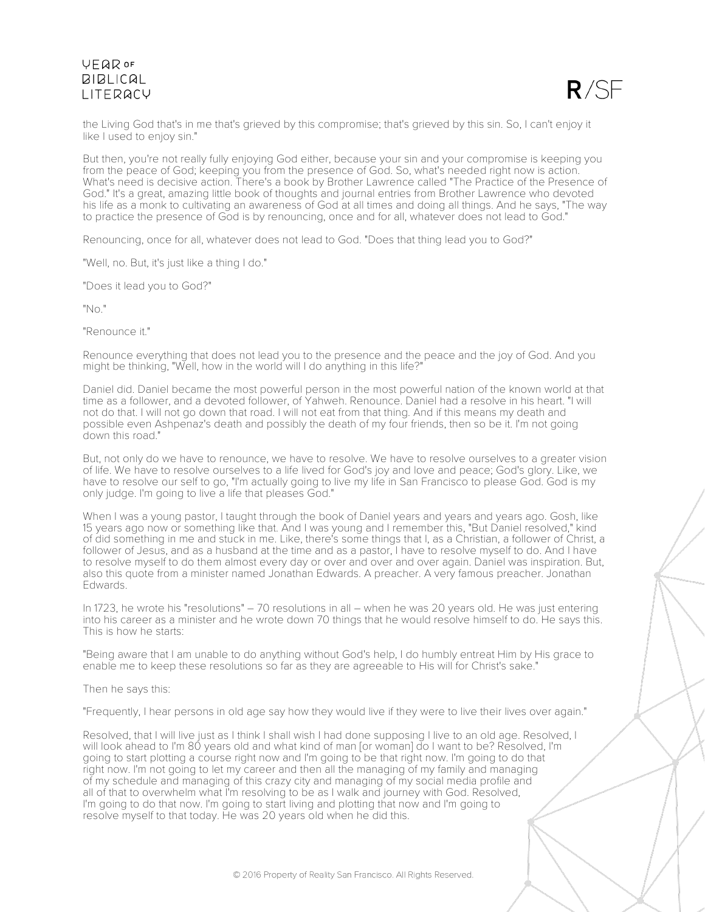

the Living God that's in me that's grieved by this compromise; that's grieved by this sin. So, I can't enjoy it like I used to enjoy sin."

But then, you're not really fully enjoying God either, because your sin and your compromise is keeping you from the peace of God; keeping you from the presence of God. So, what's needed right now is action. What's need is decisive action. There's a book by Brother Lawrence called "The Practice of the Presence of God." It's a great, amazing little book of thoughts and journal entries from Brother Lawrence who devoted his life as a monk to cultivating an awareness of God at all times and doing all things. And he says, "The way to practice the presence of God is by renouncing, once and for all, whatever does not lead to God."

Renouncing, once for all, whatever does not lead to God. "Does that thing lead you to God?"

"Well, no. But, it's just like a thing I do."

"Does it lead you to God?"

"No."

"Renounce it."

Renounce everything that does not lead you to the presence and the peace and the joy of God. And you might be thinking, "Well, how in the world will I do anything in this life?"

Daniel did. Daniel became the most powerful person in the most powerful nation of the known world at that time as a follower, and a devoted follower, of Yahweh. Renounce. Daniel had a resolve in his heart. "I will not do that. I will not go down that road. I will not eat from that thing. And if this means my death and possible even Ashpenaz's death and possibly the death of my four friends, then so be it. I'm not going down this road."

But, not only do we have to renounce, we have to resolve. We have to resolve ourselves to a greater vision of life. We have to resolve ourselves to a life lived for God's joy and love and peace; God's glory. Like, we have to resolve our self to go, "I'm actually going to live my life in San Francisco to please God. God is my only judge. I'm going to live a life that pleases God."

When I was a young pastor, I taught through the book of Daniel years and years and years ago. Gosh, like 15 years ago now or something like that. And I was young and I remember this, "But Daniel resolved," kind of did something in me and stuck in me. Like, there's some things that I, as a Christian, a follower of Christ, a follower of Jesus, and as a husband at the time and as a pastor, I have to resolve myself to do. And I have to resolve myself to do them almost every day or over and over and over again. Daniel was inspiration. But, also this quote from a minister named Jonathan Edwards. A preacher. A very famous preacher. Jonathan Edwards.

In 1723, he wrote his "resolutions" – 70 resolutions in all – when he was 20 years old. He was just entering into his career as a minister and he wrote down 70 things that he would resolve himself to do. He says this. This is how he starts:

"Being aware that I am unable to do anything without God's help, I do humbly entreat Him by His grace to enable me to keep these resolutions so far as they are agreeable to His will for Christ's sake."

Then he says this:

"Frequently, I hear persons in old age say how they would live if they were to live their lives over again."

Resolved, that I will live just as I think I shall wish I had done supposing I live to an old age. Resolved, I will look ahead to I'm 80 years old and what kind of man [or woman] do I want to be? Resolved, I'm going to start plotting a course right now and I'm going to be that right now. I'm going to do that right now. I'm not going to let my career and then all the managing of my family and managing of my schedule and managing of this crazy city and managing of my social media profile and all of that to overwhelm what I'm resolving to be as I walk and journey with God. Resolved, I'm going to do that now. I'm going to start living and plotting that now and I'm going to resolve myself to that today. He was 20 years old when he did this.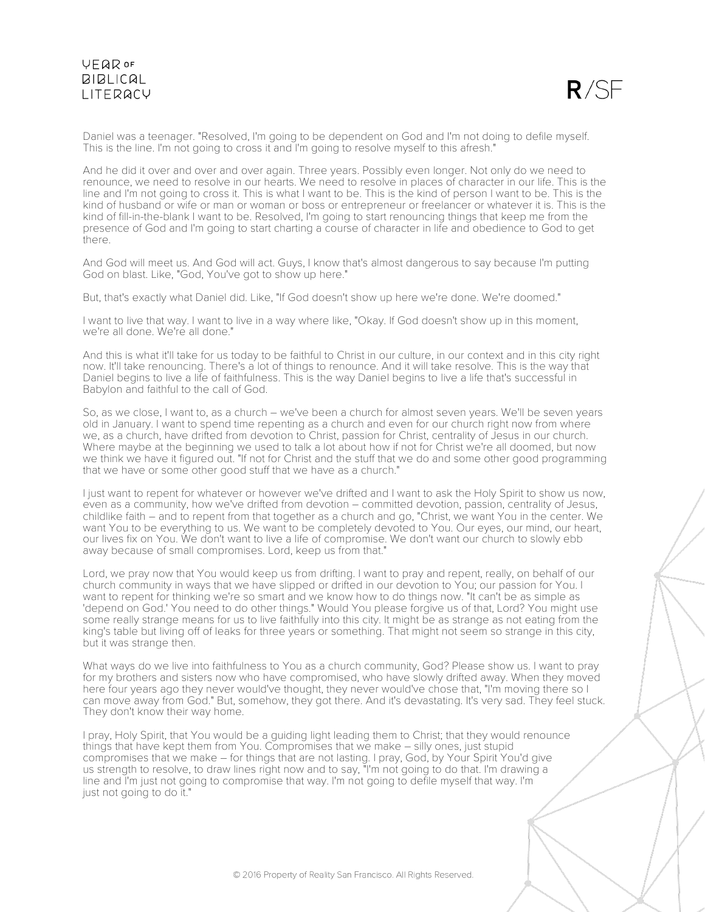$R/SF$ 

Daniel was a teenager. "Resolved, I'm going to be dependent on God and I'm not doing to defile myself. This is the line. I'm not going to cross it and I'm going to resolve myself to this afresh."

And he did it over and over and over again. Three years. Possibly even longer. Not only do we need to renounce, we need to resolve in our hearts. We need to resolve in places of character in our life. This is the line and I'm not going to cross it. This is what I want to be. This is the kind of person I want to be. This is the kind of husband or wife or man or woman or boss or entrepreneur or freelancer or whatever it is. This is the kind of fill-in-the-blank I want to be. Resolved, I'm going to start renouncing things that keep me from the presence of God and I'm going to start charting a course of character in life and obedience to God to get there.

And God will meet us. And God will act. Guys, I know that's almost dangerous to say because I'm putting God on blast. Like, "God, You've got to show up here."

But, that's exactly what Daniel did. Like, "If God doesn't show up here we're done. We're doomed."

I want to live that way. I want to live in a way where like, "Okay. If God doesn't show up in this moment, we're all done. We're all done."

And this is what it'll take for us today to be faithful to Christ in our culture, in our context and in this city right now. It'll take renouncing. There's a lot of things to renounce. And it will take resolve. This is the way that Daniel begins to live a life of faithfulness. This is the way Daniel begins to live a life that's successful in Babylon and faithful to the call of God.

So, as we close, I want to, as a church – we've been a church for almost seven years. We'll be seven years old in January. I want to spend time repenting as a church and even for our church right now from where we, as a church, have drifted from devotion to Christ, passion for Christ, centrality of Jesus in our church. Where maybe at the beginning we used to talk a lot about how if not for Christ we're all doomed, but now we think we have it figured out. "If not for Christ and the stuff that we do and some other good programming that we have or some other good stuff that we have as a church."

I just want to repent for whatever or however we've drifted and I want to ask the Holy Spirit to show us now, even as a community, how we've drifted from devotion – committed devotion, passion, centrality of Jesus, childlike faith – and to repent from that together as a church and go, "Christ, we want You in the center. We want You to be everything to us. We want to be completely devoted to You. Our eyes, our mind, our heart, our lives fix on You. We don't want to live a life of compromise. We don't want our church to slowly ebb away because of small compromises. Lord, keep us from that."

Lord, we pray now that You would keep us from drifting. I want to pray and repent, really, on behalf of our church community in ways that we have slipped or drifted in our devotion to You; our passion for You. I want to repent for thinking we're so smart and we know how to do things now. "It can't be as simple as 'depend on God.' You need to do other things." Would You please forgive us of that, Lord? You might use some really strange means for us to live faithfully into this city. It might be as strange as not eating from the king's table but living off of leaks for three years or something. That might not seem so strange in this city, but it was strange then.

What ways do we live into faithfulness to You as a church community, God? Please show us. I want to pray for my brothers and sisters now who have compromised, who have slowly drifted away. When they moved here four years ago they never would've thought, they never would've chose that, "I'm moving there so I can move away from God." But, somehow, they got there. And it's devastating. It's very sad. They feel stuck. They don't know their way home.

I pray, Holy Spirit, that You would be a guiding light leading them to Christ; that they would renounce things that have kept them from You. Compromises that we make – silly ones, just stupid compromises that we make – for things that are not lasting. I pray, God, by Your Spirit You'd give us strength to resolve, to draw lines right now and to say, "I'm not going to do that. I'm drawing a line and I'm just not going to compromise that way. I'm not going to defile myself that way. I'm just not going to do it."